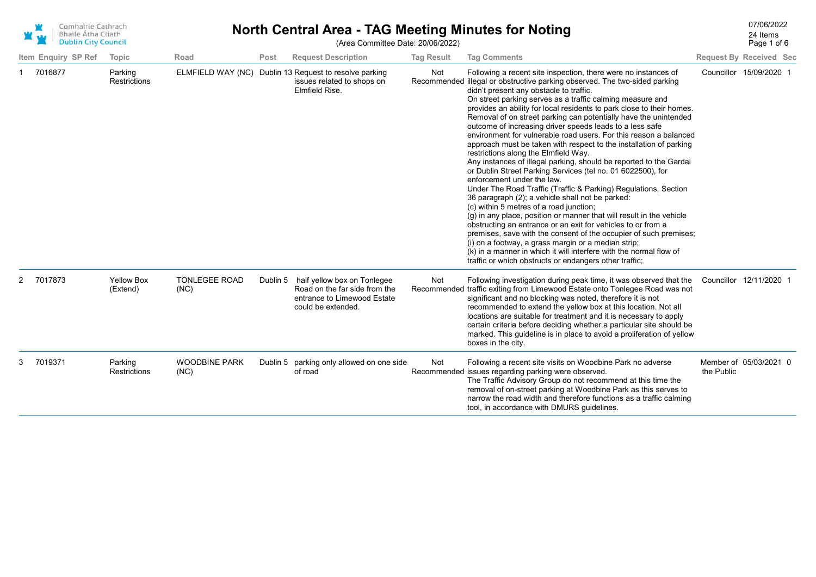| Comhairle Cathrach<br><b>Bhaile Átha Cliath</b><br><b>Dublin City Council</b> |                                | <b>North Central Area - TAG Meeting Minutes for Noting</b> |          | 07/06/2022<br>24 Items<br>Page 1 of 6                                                                             |                   |                                                                                                                                                                                                                                                                                                                                                                                                                                                                                                                                                                                                                                                                                                                                                                                                                                                                                                                                                                                                                                                                                                                                                                                                                                                                                                                                                                                           |            |                                |
|-------------------------------------------------------------------------------|--------------------------------|------------------------------------------------------------|----------|-------------------------------------------------------------------------------------------------------------------|-------------------|-------------------------------------------------------------------------------------------------------------------------------------------------------------------------------------------------------------------------------------------------------------------------------------------------------------------------------------------------------------------------------------------------------------------------------------------------------------------------------------------------------------------------------------------------------------------------------------------------------------------------------------------------------------------------------------------------------------------------------------------------------------------------------------------------------------------------------------------------------------------------------------------------------------------------------------------------------------------------------------------------------------------------------------------------------------------------------------------------------------------------------------------------------------------------------------------------------------------------------------------------------------------------------------------------------------------------------------------------------------------------------------------|------------|--------------------------------|
| Item Enquiry SP Ref                                                           | <b>Topic</b>                   | Road                                                       | Post     | <b>Request Description</b>                                                                                        | <b>Tag Result</b> | <b>Tag Comments</b>                                                                                                                                                                                                                                                                                                                                                                                                                                                                                                                                                                                                                                                                                                                                                                                                                                                                                                                                                                                                                                                                                                                                                                                                                                                                                                                                                                       |            | <b>Request By Received Sec</b> |
| 7016877                                                                       | Parking<br>Restrictions        |                                                            |          | ELMFIELD WAY (NC) Dublin 13 Request to resolve parking<br>issues related to shops on<br>Elmfield Rise.            | Not               | Following a recent site inspection, there were no instances of<br>Recommended illegal or obstructive parking observed. The two-sided parking<br>didn't present any obstacle to traffic.<br>On street parking serves as a traffic calming measure and<br>provides an ability for local residents to park close to their homes.<br>Removal of on street parking can potentially have the unintended<br>outcome of increasing driver speeds leads to a less safe<br>environment for vulnerable road users. For this reason a balanced<br>approach must be taken with respect to the installation of parking<br>restrictions along the Elmfield Way.<br>Any instances of illegal parking, should be reported to the Gardai<br>or Dublin Street Parking Services (tel no. 01 6022500), for<br>enforcement under the law.<br>Under The Road Traffic (Traffic & Parking) Regulations, Section<br>36 paragraph (2); a vehicle shall not be parked:<br>(c) within 5 metres of a road junction;<br>(g) in any place, position or manner that will result in the vehicle<br>obstructing an entrance or an exit for vehicles to or from a<br>premises, save with the consent of the occupier of such premises;<br>(i) on a footway, a grass margin or a median strip;<br>(k) in a manner in which it will interfere with the normal flow of<br>traffic or which obstructs or endangers other traffic; |            | Councillor 15/09/2020 1        |
| 2 7017873                                                                     | <b>Yellow Box</b><br>(Extend)  | <b>TONLEGEE ROAD</b><br>(NC)                               | Dublin 5 | half yellow box on Tonlegee<br>Road on the far side from the<br>entrance to Limewood Estate<br>could be extended. | Not               | Following investigation during peak time, it was observed that the<br>Recommended traffic exiting from Limewood Estate onto Tonlegee Road was not<br>significant and no blocking was noted, therefore it is not<br>recommended to extend the yellow box at this location. Not all<br>locations are suitable for treatment and it is necessary to apply<br>certain criteria before deciding whether a particular site should be<br>marked. This guideline is in place to avoid a proliferation of yellow<br>boxes in the city.                                                                                                                                                                                                                                                                                                                                                                                                                                                                                                                                                                                                                                                                                                                                                                                                                                                             |            | Councillor 12/11/2020 1        |
| 7019371                                                                       | Parking<br><b>Restrictions</b> | <b>WOODBINE PARK</b><br>(NC)                               |          | Dublin 5 parking only allowed on one side<br>of road                                                              | Not               | Following a recent site visits on Woodbine Park no adverse<br>Recommended issues regarding parking were observed.<br>The Traffic Advisory Group do not recommend at this time the<br>removal of on-street parking at Woodbine Park as this serves to<br>narrow the road width and therefore functions as a traffic calming<br>tool, in accordance with DMURS guidelines.                                                                                                                                                                                                                                                                                                                                                                                                                                                                                                                                                                                                                                                                                                                                                                                                                                                                                                                                                                                                                  | the Public | Member of 05/03/2021 0         |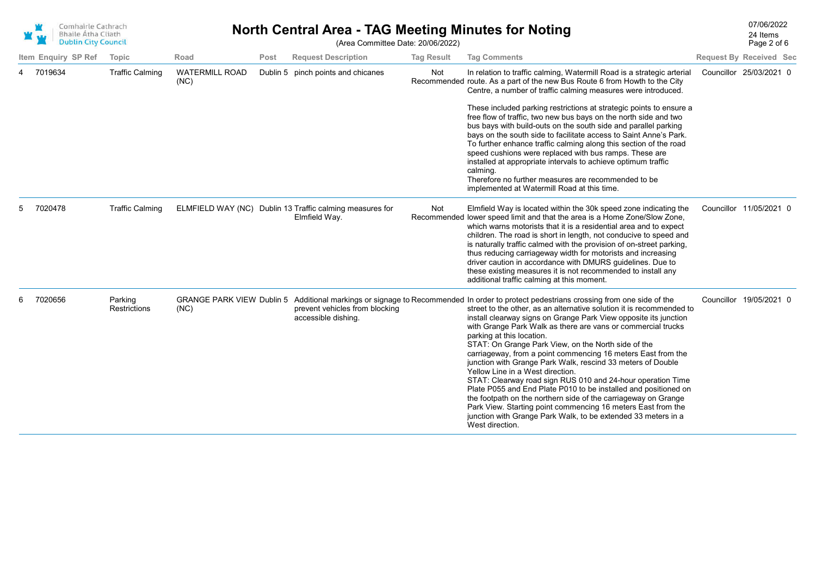| Comhairle Cathrach<br><b>Bhaile Átha Cliath</b><br><b>Dublin City Council</b> |
|-------------------------------------------------------------------------------|
|                                                                               |

### 07/06/2022 **North Central Area - TAG Meeting Minutes for Noting**

Page 2 of 6

24 Items

(Area Committee Date: 20/06/2022)

|   | Item Enquiry SP Ref | Topic                          | Road                                     | Post     | <b>Request Description</b>                                                | <b>Tag Result</b> | <b>Tag Comments</b>                                                                                                                                                                                                                                                                                                                                                                                                                                                                                                                                                                                                                                                                                                                                                                                                                                                                                                                    | <b>Request By Received Sec</b> |  |
|---|---------------------|--------------------------------|------------------------------------------|----------|---------------------------------------------------------------------------|-------------------|----------------------------------------------------------------------------------------------------------------------------------------------------------------------------------------------------------------------------------------------------------------------------------------------------------------------------------------------------------------------------------------------------------------------------------------------------------------------------------------------------------------------------------------------------------------------------------------------------------------------------------------------------------------------------------------------------------------------------------------------------------------------------------------------------------------------------------------------------------------------------------------------------------------------------------------|--------------------------------|--|
|   | 7019634             | <b>Traffic Calming</b>         | <b>WATERMILL ROAD</b><br>(NC)            | Dublin 5 | pinch points and chicanes                                                 | Not               | In relation to traffic calming, Watermill Road is a strategic arterial<br>Recommended route. As a part of the new Bus Route 6 from Howth to the City<br>Centre, a number of traffic calming measures were introduced.<br>These included parking restrictions at strategic points to ensure a<br>free flow of traffic, two new bus bays on the north side and two<br>bus bays with build-outs on the south side and parallel parking<br>bays on the south side to facilitate access to Saint Anne's Park.<br>To further enhance traffic calming along this section of the road<br>speed cushions were replaced with bus ramps. These are<br>installed at appropriate intervals to achieve optimum traffic<br>calming.<br>Therefore no further measures are recommended to be<br>implemented at Watermill Road at this time.                                                                                                             | Councillor 25/03/2021 0        |  |
|   | 7020478             | <b>Traffic Calming</b>         |                                          |          | ELMFIELD WAY (NC) Dublin 13 Traffic calming measures for<br>Elmfield Way. | Not               | Elmfield Way is located within the 30k speed zone indicating the<br>Recommended lower speed limit and that the area is a Home Zone/Slow Zone,<br>which warns motorists that it is a residential area and to expect<br>children. The road is short in length, not conducive to speed and<br>is naturally traffic calmed with the provision of on-street parking,<br>thus reducing carriageway width for motorists and increasing<br>driver caution in accordance with DMURS guidelines. Due to<br>these existing measures it is not recommended to install any<br>additional traffic calming at this moment.                                                                                                                                                                                                                                                                                                                            | Councillor 11/05/2021 0        |  |
| 6 | 7020656             | Parking<br><b>Restrictions</b> | <b>GRANGE PARK VIEW Dublin 5</b><br>(NC) |          | prevent vehicles from blocking<br>accessible dishing.                     |                   | Additional markings or signage to Recommended In order to protect pedestrians crossing from one side of the<br>street to the other, as an alternative solution it is recommended to<br>install clearway signs on Grange Park View opposite its junction<br>with Grange Park Walk as there are vans or commercial trucks<br>parking at this location.<br>STAT: On Grange Park View, on the North side of the<br>carriageway, from a point commencing 16 meters East from the<br>junction with Grange Park Walk, rescind 33 meters of Double<br>Yellow Line in a West direction.<br>STAT: Clearway road sign RUS 010 and 24-hour operation Time<br>Plate P055 and End Plate P010 to be installed and positioned on<br>the footpath on the northern side of the carriageway on Grange<br>Park View. Starting point commencing 16 meters East from the<br>junction with Grange Park Walk, to be extended 33 meters in a<br>West direction. | Councillor 19/05/2021 0        |  |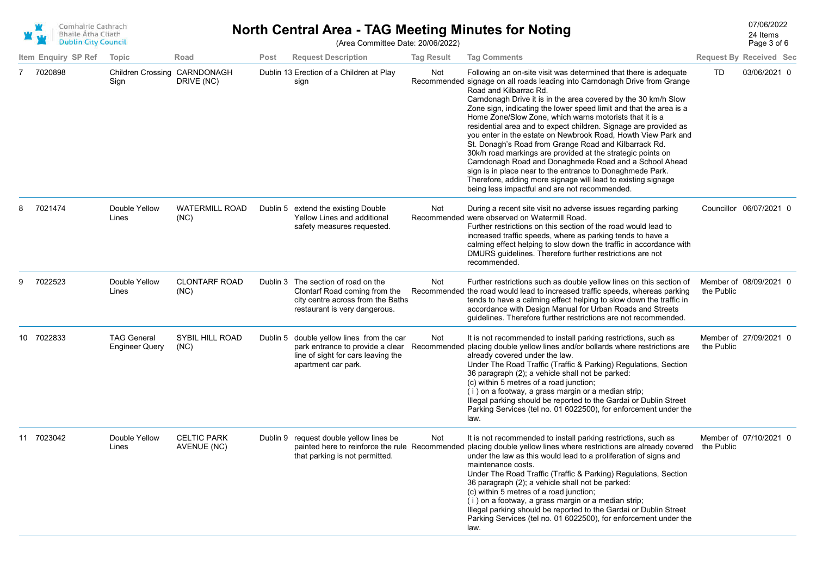

#### **North Central Area - TAG Meeting Minutes for Noting** Manus 24 Items 24 Items (Area Committee Date: 20/06/2022)

24 Items

Page 3 of 6

|                     |                                             |                                   |      |                                                                                                                                            |                   |                                                                                                                                                                                                                                                                                                                                                                                                                                                                                                                                                                                                                                                                                                                                                                                                                                                                                  |            | 99 -                           |
|---------------------|---------------------------------------------|-----------------------------------|------|--------------------------------------------------------------------------------------------------------------------------------------------|-------------------|----------------------------------------------------------------------------------------------------------------------------------------------------------------------------------------------------------------------------------------------------------------------------------------------------------------------------------------------------------------------------------------------------------------------------------------------------------------------------------------------------------------------------------------------------------------------------------------------------------------------------------------------------------------------------------------------------------------------------------------------------------------------------------------------------------------------------------------------------------------------------------|------------|--------------------------------|
| Item Enquiry SP Ref | Topic                                       | Road                              | Post | <b>Request Description</b>                                                                                                                 | <b>Tag Result</b> | <b>Tag Comments</b>                                                                                                                                                                                                                                                                                                                                                                                                                                                                                                                                                                                                                                                                                                                                                                                                                                                              |            | <b>Request By Received Sec</b> |
| 7020898<br>7        | Children Crossing CARNDONAGH<br>Sign        | DRIVE (NC)                        |      | Dublin 13 Erection of a Children at Play<br>sign                                                                                           | Not               | Following an on-site visit was determined that there is adequate<br>Recommended signage on all roads leading into Carndonagh Drive from Grange<br>Road and Kilbarrac Rd.<br>Carndonagh Drive it is in the area covered by the 30 km/h Slow<br>Zone sign, indicating the lower speed limit and that the area is a<br>Home Zone/Slow Zone, which warns motorists that it is a<br>residential area and to expect children. Signage are provided as<br>you enter in the estate on Newbrook Road, Howth View Park and<br>St. Donagh's Road from Grange Road and Kilbarrack Rd.<br>30k/h road markings are provided at the strategic points on<br>Carndonagh Road and Donaghmede Road and a School Ahead<br>sign is in place near to the entrance to Donaghmede Park.<br>Therefore, adding more signage will lead to existing signage<br>being less impactful and are not recommended. | TD         | 03/06/2021 0                   |
| 7021474<br>8        | Double Yellow<br>Lines                      | <b>WATERMILL ROAD</b><br>(NC)     |      | Dublin 5 extend the existing Double<br>Yellow Lines and additional<br>safety measures requested.                                           | Not               | During a recent site visit no adverse issues regarding parking<br>Recommended were observed on Watermill Road.<br>Further restrictions on this section of the road would lead to<br>increased traffic speeds, where as parking tends to have a<br>calming effect helping to slow down the traffic in accordance with<br>DMURS guidelines. Therefore further restrictions are not<br>recommended.                                                                                                                                                                                                                                                                                                                                                                                                                                                                                 |            | Councillor 06/07/2021 0        |
| 7022523<br>g        | Double Yellow<br>Lines                      | <b>CLONTARF ROAD</b><br>(NC)      |      | Dublin 3 The section of road on the<br>Clontarf Road coming from the<br>city centre across from the Baths<br>restaurant is very dangerous. | Not               | Further restrictions such as double yellow lines on this section of<br>Recommended the road would lead to increased traffic speeds, whereas parking<br>tends to have a calming effect helping to slow down the traffic in<br>accordance with Design Manual for Urban Roads and Streets<br>guidelines. Therefore further restrictions are not recommended.                                                                                                                                                                                                                                                                                                                                                                                                                                                                                                                        | the Public | Member of 08/09/2021 0         |
| 10 7022833          | <b>TAG General</b><br><b>Engineer Query</b> | <b>SYBIL HILL ROAD</b><br>(NC)    |      | Dublin 5 double yellow lines from the car<br>line of sight for cars leaving the<br>apartment car park.                                     | Not               | It is not recommended to install parking restrictions, such as<br>park entrance to provide a clear Recommended placing double yellow lines and/or bollards where restrictions are<br>already covered under the law.<br>Under The Road Traffic (Traffic & Parking) Regulations, Section<br>36 paragraph (2); a vehicle shall not be parked:<br>(c) within 5 metres of a road junction;<br>(i) on a footway, a grass margin or a median strip;<br>Illegal parking should be reported to the Gardai or Dublin Street<br>Parking Services (tel no. 01 6022500), for enforcement under the<br>law.                                                                                                                                                                                                                                                                                    | the Public | Member of 27/09/2021 0         |
| 11 7023042          | Double Yellow<br>Lines                      | <b>CELTIC PARK</b><br>AVENUE (NC) |      | Dublin 9 request double yellow lines be<br>that parking is not permitted.                                                                  | Not               | It is not recommended to install parking restrictions, such as<br>painted here to reinforce the rule Recommended placing double yellow lines where restrictions are already covered the Public<br>under the law as this would lead to a proliferation of signs and<br>maintenance costs.<br>Under The Road Traffic (Traffic & Parking) Regulations, Section<br>36 paragraph (2); a vehicle shall not be parked:<br>(c) within 5 metres of a road junction;<br>(i) on a footway, a grass margin or a median strip;<br>Illegal parking should be reported to the Gardai or Dublin Street<br>Parking Services (tel no. 01 6022500), for enforcement under the<br>law.                                                                                                                                                                                                               |            | Member of 07/10/2021 0         |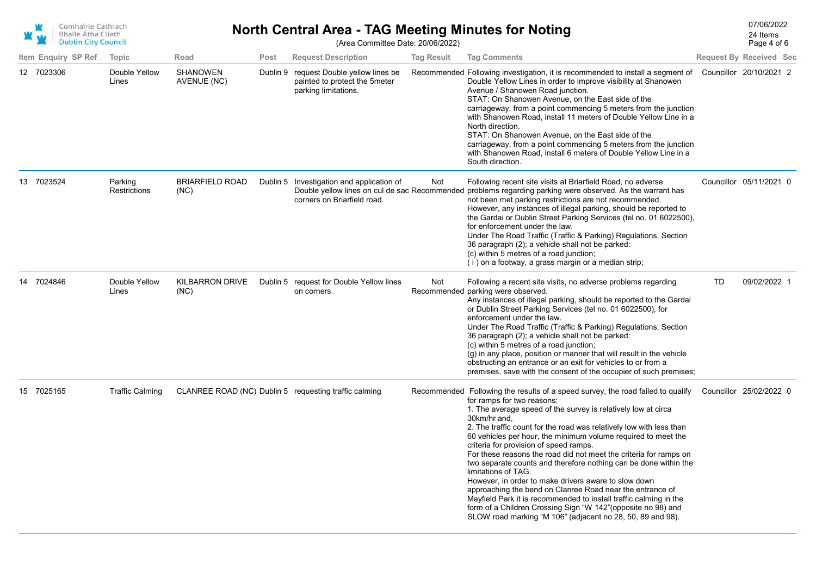

# **North Central Area - TAG Meeting Minutes for Noting** Manus 24 Items 24 Items

Page 4 of 6 24 Items

(Area Committee Date: 20/06/2022)

| Item Enquiry SP Ref | Topic                   | Road                           | Post | <b>Request Description</b>                                                                       | <b>Tag Result</b> | <b>Tag Comments</b>                                                                                                                                                                                                                                                                                                                                                                                                                                                                                                                                                                                                                                                                                                                                                                                                                                                       |    | <b>Request By Received Sec</b> |  |
|---------------------|-------------------------|--------------------------------|------|--------------------------------------------------------------------------------------------------|-------------------|---------------------------------------------------------------------------------------------------------------------------------------------------------------------------------------------------------------------------------------------------------------------------------------------------------------------------------------------------------------------------------------------------------------------------------------------------------------------------------------------------------------------------------------------------------------------------------------------------------------------------------------------------------------------------------------------------------------------------------------------------------------------------------------------------------------------------------------------------------------------------|----|--------------------------------|--|
| 12 7023306          | Double Yellow<br>Lines  | <b>SHANOWEN</b><br>AVENUE (NC) |      | Dublin 9 request Double yellow lines be<br>painted to protect the 5meter<br>parking limitations. |                   | Recommended Following investigation, it is recommended to install a segment of Councillor 20/10/2021 2<br>Double Yellow Lines in order to improve visibility at Shanowen<br>Avenue / Shanowen Road junction.<br>STAT: On Shanowen Avenue, on the East side of the<br>carriageway, from a point commencing 5 meters from the junction<br>with Shanowen Road, install 11 meters of Double Yellow Line in a<br>North direction.<br>STAT: On Shanowen Avenue, on the East side of the<br>carriageway, from a point commencing 5 meters from the junction<br>with Shanowen Road, install 6 meters of Double Yellow Line in a<br>South direction.                                                                                                                                                                                                                               |    |                                |  |
| 13 7023524          | Parking<br>Restrictions | <b>BRIARFIELD ROAD</b><br>(NC) |      | Dublin 5 Investigation and application of<br>corners on Briarfield road.                         | Not               | Following recent site visits at Briarfield Road, no adverse<br>Double yellow lines on cul de sac Recommended problems regarding parking were observed. As the warrant has<br>not been met parking restrictions are not recommended.<br>However, any instances of illegal parking, should be reported to<br>the Gardai or Dublin Street Parking Services (tel no. 01 6022500),<br>for enforcement under the law.<br>Under The Road Traffic (Traffic & Parking) Regulations, Section<br>36 paragraph (2); a vehicle shall not be parked:<br>(c) within 5 metres of a road junction;<br>(i) on a footway, a grass margin or a median strip;                                                                                                                                                                                                                                  |    | Councillor 05/11/2021 0        |  |
| 14 7024846          | Double Yellow<br>Lines  | <b>KILBARRON DRIVE</b><br>(NC) |      | Dublin 5 request for Double Yellow lines<br>on corners.                                          | Not               | Following a recent site visits, no adverse problems regarding<br>Recommended parking were observed.<br>Any instances of illegal parking, should be reported to the Gardai<br>or Dublin Street Parking Services (tel no. 01 6022500), for<br>enforcement under the law.<br>Under The Road Traffic (Traffic & Parking) Regulations, Section<br>36 paragraph (2); a vehicle shall not be parked:<br>(c) within 5 metres of a road junction;<br>(g) in any place, position or manner that will result in the vehicle<br>obstructing an entrance or an exit for vehicles to or from a<br>premises, save with the consent of the occupier of such premises;                                                                                                                                                                                                                     | TD | 09/02/2022 1                   |  |
| 15 7025165          | <b>Traffic Calming</b>  |                                |      | CLANREE ROAD (NC) Dublin 5 requesting traffic calming                                            |                   | Recommended Following the results of a speed survey, the road failed to qualify<br>for ramps for two reasons:<br>1. The average speed of the survey is relatively low at circa<br>30km/hr and,<br>2. The traffic count for the road was relatively low with less than<br>60 vehicles per hour, the minimum volume required to meet the<br>criteria for provision of speed ramps.<br>For these reasons the road did not meet the criteria for ramps on<br>two separate counts and therefore nothing can be done within the<br>limitations of TAG.<br>However, in order to make drivers aware to slow down<br>approaching the bend on Clanree Road near the entrance of<br>Mayfield Park it is recommended to install traffic calming in the<br>form of a Children Crossing Sign "W 142" (opposite no 98) and<br>SLOW road marking "M 106" (adjacent no 28, 50, 89 and 98). |    | Councillor 25/02/2022 0        |  |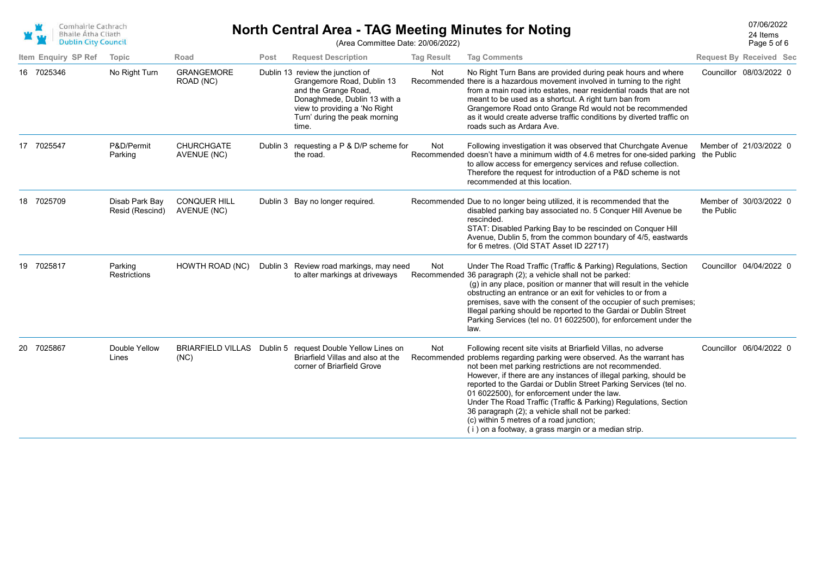

# **North Central Area - TAG Meeting Minutes for Noting** Manus 24 Items 24 Items

Page 5 of 6

24 Items

(Area Committee Date: 20/06/2022)

|    | Item Enquiry SP Ref | Topic                             | Road                               | Post     | <b>Request Description</b>                                                                                                                                                                        | <b>Tag Result</b> | <b>Tag Comments</b>                                                                                                                                                                                                                                                                                                                                                                                                                                                                                                                                                                                                   |            | <b>Request By Received Sec</b> |
|----|---------------------|-----------------------------------|------------------------------------|----------|---------------------------------------------------------------------------------------------------------------------------------------------------------------------------------------------------|-------------------|-----------------------------------------------------------------------------------------------------------------------------------------------------------------------------------------------------------------------------------------------------------------------------------------------------------------------------------------------------------------------------------------------------------------------------------------------------------------------------------------------------------------------------------------------------------------------------------------------------------------------|------------|--------------------------------|
|    | 16 7025346          | No Right Turn                     | <b>GRANGEMORE</b><br>ROAD (NC)     |          | Dublin 13 review the junction of<br>Grangemore Road, Dublin 13<br>and the Grange Road,<br>Donaghmede, Dublin 13 with a<br>view to providing a 'No Right<br>Turn' during the peak morning<br>time. | Not               | No Right Turn Bans are provided during peak hours and where<br>Recommended there is a hazardous movement involved in turning to the right<br>from a main road into estates, near residential roads that are not<br>meant to be used as a shortcut. A right turn ban from<br>Grangemore Road onto Grange Rd would not be recommended<br>as it would create adverse traffic conditions by diverted traffic on<br>roads such as Ardara Ave.                                                                                                                                                                              |            | Councillor 08/03/2022 0        |
|    | 17 7025547          | P&D/Permit<br>Parking             | <b>CHURCHGATE</b><br>AVENUE (NC)   | Dublin 3 | requesting a P & D/P scheme for<br>the road.                                                                                                                                                      | Not               | Following investigation it was observed that Churchgate Avenue<br>Recommended doesn't have a minimum width of 4.6 metres for one-sided parking<br>to allow access for emergency services and refuse collection.<br>Therefore the request for introduction of a P&D scheme is not<br>recommended at this location.                                                                                                                                                                                                                                                                                                     | the Public | Member of 21/03/2022 0         |
|    | 18 7025709          | Disab Park Bay<br>Resid (Rescind) | <b>CONQUER HILL</b><br>AVENUE (NC) |          | Dublin 3 Bay no longer required.                                                                                                                                                                  |                   | Recommended Due to no longer being utilized, it is recommended that the<br>disabled parking bay associated no. 5 Conquer Hill Avenue be<br>rescinded.<br>STAT: Disabled Parking Bay to be rescinded on Conquer Hill<br>Avenue, Dublin 5, from the common boundary of 4/5, eastwards<br>for 6 metres. (Old STAT Asset ID 22717)                                                                                                                                                                                                                                                                                        | the Public | Member of 30/03/2022 0         |
| 19 | 7025817             | Parking<br>Restrictions           | HOWTH ROAD (NC)                    |          | Dublin 3 Review road markings, may need<br>to alter markings at driveways                                                                                                                         | Not               | Under The Road Traffic (Traffic & Parking) Regulations, Section<br>Recommended 36 paragraph (2); a vehicle shall not be parked:<br>(g) in any place, position or manner that will result in the vehicle<br>obstructing an entrance or an exit for vehicles to or from a<br>premises, save with the consent of the occupier of such premises;<br>Illegal parking should be reported to the Gardai or Dublin Street<br>Parking Services (tel no. 01 6022500), for enforcement under the<br>law.                                                                                                                         |            | Councillor 04/04/2022 0        |
| 20 | 7025867             | Double Yellow<br>Lines            | <b>BRIARFIELD VILLAS</b><br>(NC)   |          | Dublin 5 request Double Yellow Lines on<br>Briarfield Villas and also at the<br>corner of Briarfield Grove                                                                                        | Not               | Following recent site visits at Briarfield Villas, no adverse<br>Recommended problems regarding parking were observed. As the warrant has<br>not been met parking restrictions are not recommended.<br>However, if there are any instances of illegal parking, should be<br>reported to the Gardai or Dublin Street Parking Services (tel no.<br>01 6022500), for enforcement under the law.<br>Under The Road Traffic (Traffic & Parking) Regulations, Section<br>36 paragraph (2); a vehicle shall not be parked:<br>(c) within 5 metres of a road junction;<br>(i) on a footway, a grass margin or a median strip. |            | Councillor 06/04/2022 0        |